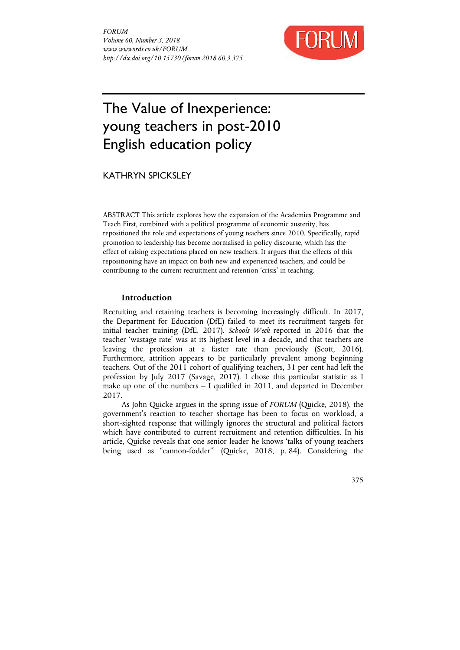

# The Value of Inexperience: young teachers in post-2010 English education policy

KATHRYN SPICKSLEY

ABSTRACT This article explores how the expansion of the Academies Programme and Teach First, combined with a political programme of economic austerity, has repositioned the role and expectations of young teachers since 2010. Specifically, rapid promotion to leadership has become normalised in policy discourse, which has the effect of raising expectations placed on new teachers. It argues that the effects of this repositioning have an impact on both new and experienced teachers, and could be contributing to the current recruitment and retention 'crisis' in teaching.

## **Introduction**

Recruiting and retaining teachers is becoming increasingly difficult. In 2017, the Department for Education (DfE) failed to meet its recruitment targets for initial teacher training (DfE, 2017). *Schools Week* reported in 2016 that the teacher 'wastage rate' was at its highest level in a decade, and that teachers are leaving the profession at a faster rate than previously (Scott, 2016). Furthermore, attrition appears to be particularly prevalent among beginning teachers. Out of the 2011 cohort of qualifying teachers, 31 per cent had left the profession by July 2017 (Savage, 2017). I chose this particular statistic as I make up one of the numbers – I qualified in 2011, and departed in December 2017.

As John Quicke argues in the spring issue of *FORUM* (Quicke, 2018), the government's reaction to teacher shortage has been to focus on workload, a short-sighted response that willingly ignores the structural and political factors which have contributed to current recruitment and retention difficulties. In his article, Quicke reveals that one senior leader he knows 'talks of young teachers being used as "cannon-fodder"' (Quicke, 2018, p. 84). Considering the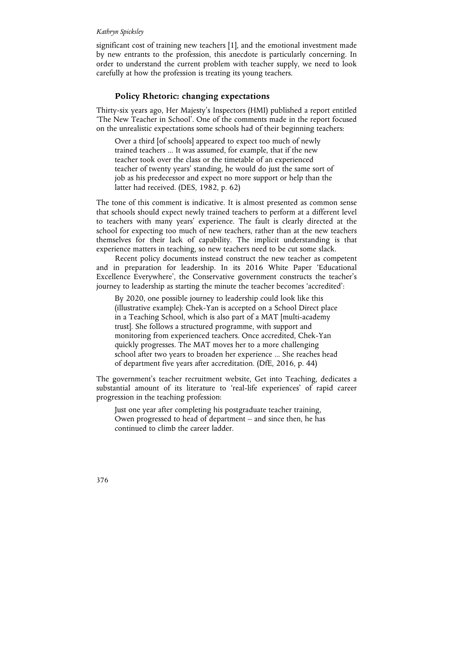significant cost of training new teachers [1], and the emotional investment made by new entrants to the profession, this anecdote is particularly concerning. In order to understand the current problem with teacher supply, we need to look carefully at how the profession is treating its young teachers.

## **Policy Rhetoric: changing expectations**

Thirty-six years ago, Her Majesty's Inspectors (HMI) published a report entitled 'The New Teacher in School'. One of the comments made in the report focused on the unrealistic expectations some schools had of their beginning teachers:

Over a third [of schools] appeared to expect too much of newly trained teachers ... It was assumed, for example, that if the new teacher took over the class or the timetable of an experienced teacher of twenty years' standing, he would do just the same sort of job as his predecessor and expect no more support or help than the latter had received. (DES, 1982, p. 62)

The tone of this comment is indicative. It is almost presented as common sense that schools should expect newly trained teachers to perform at a different level to teachers with many years' experience. The fault is clearly directed at the school for expecting too much of new teachers, rather than at the new teachers themselves for their lack of capability. The implicit understanding is that experience matters in teaching, so new teachers need to be cut some slack.

Recent policy documents instead construct the new teacher as competent and in preparation for leadership. In its 2016 White Paper 'Educational Excellence Everywhere', the Conservative government constructs the teacher's journey to leadership as starting the minute the teacher becomes 'accredited':

By 2020, one possible journey to leadership could look like this (illustrative example): Chek-Yan is accepted on a School Direct place in a Teaching School, which is also part of a MAT [multi-academy trust]. She follows a structured programme, with support and monitoring from experienced teachers. Once accredited, Chek-Yan quickly progresses. The MAT moves her to a more challenging school after two years to broaden her experience ... She reaches head of department five years after accreditation. (DfE, 2016, p. 44)

The government's teacher recruitment website, Get into Teaching, dedicates a substantial amount of its literature to 'real-life experiences' of rapid career progression in the teaching profession:

Just one year after completing his postgraduate teacher training, Owen progressed to head of department – and since then, he has continued to climb the career ladder.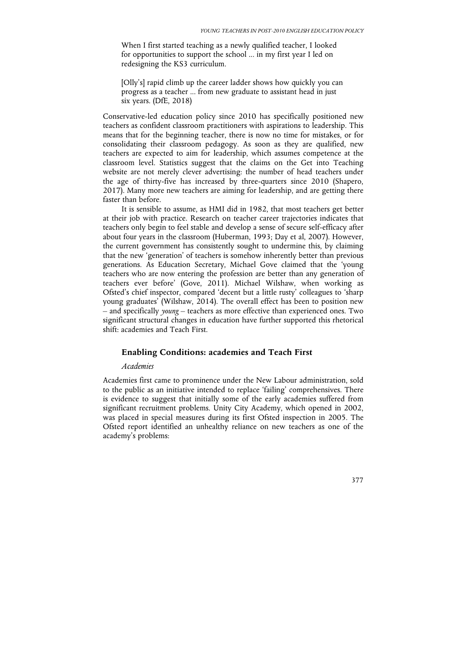When I first started teaching as a newly qualified teacher, I looked for opportunities to support the school ... in my first year I led on redesigning the KS3 curriculum.

[Olly's] rapid climb up the career ladder shows how quickly you can progress as a teacher ... from new graduate to assistant head in just six years. (DfE, 2018)

Conservative-led education policy since 2010 has specifically positioned new teachers as confident classroom practitioners with aspirations to leadership. This means that for the beginning teacher, there is now no time for mistakes, or for consolidating their classroom pedagogy. As soon as they are qualified, new teachers are expected to aim for leadership, which assumes competence at the classroom level. Statistics suggest that the claims on the Get into Teaching website are not merely clever advertising: the number of head teachers under the age of thirty-five has increased by three-quarters since 2010 (Shapero, 2017). Many more new teachers are aiming for leadership, and are getting there faster than before.

It is sensible to assume, as HMI did in 1982, that most teachers get better at their job with practice. Research on teacher career trajectories indicates that teachers only begin to feel stable and develop a sense of secure self-efficacy after about four years in the classroom (Huberman, 1993; Day et al, 2007). However, the current government has consistently sought to undermine this, by claiming that the new 'generation' of teachers is somehow inherently better than previous generations. As Education Secretary, Michael Gove claimed that the 'young teachers who are now entering the profession are better than any generation of teachers ever before' (Gove, 2011). Michael Wilshaw, when working as Ofsted's chief inspector, compared 'decent but a little rusty' colleagues to 'sharp young graduates' (Wilshaw, 2014). The overall effect has been to position new – and specifically *young* – teachers as more effective than experienced ones. Two significant structural changes in education have further supported this rhetorical shift: academies and Teach First.

## **Enabling Conditions: academies and Teach First**

## *Academies*

Academies first came to prominence under the New Labour administration, sold to the public as an initiative intended to replace 'failing' comprehensives. There is evidence to suggest that initially some of the early academies suffered from significant recruitment problems. Unity City Academy, which opened in 2002, was placed in special measures during its first Ofsted inspection in 2005. The Ofsted report identified an unhealthy reliance on new teachers as one of the academy's problems: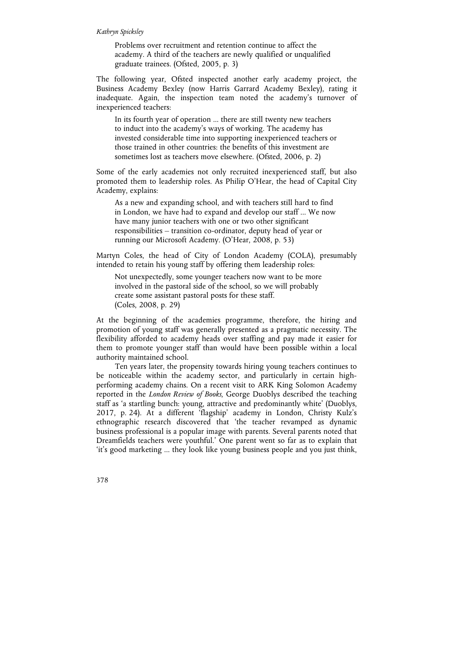Problems over recruitment and retention continue to affect the academy. A third of the teachers are newly qualified or unqualified graduate trainees. (Ofsted, 2005, p. 3)

The following year, Ofsted inspected another early academy project, the Business Academy Bexley (now Harris Garrard Academy Bexley), rating it inadequate. Again, the inspection team noted the academy's turnover of inexperienced teachers:

In its fourth year of operation ... there are still twenty new teachers to induct into the academy's ways of working. The academy has invested considerable time into supporting inexperienced teachers or those trained in other countries: the benefits of this investment are sometimes lost as teachers move elsewhere. (Ofsted, 2006, p. 2)

Some of the early academies not only recruited inexperienced staff, but also promoted them to leadership roles. As Philip O'Hear, the head of Capital City Academy, explains:

As a new and expanding school, and with teachers still hard to find in London, we have had to expand and develop our staff ... We now have many junior teachers with one or two other significant responsibilities – transition co-ordinator, deputy head of year or running our Microsoft Academy. (O'Hear, 2008, p. 53)

Martyn Coles, the head of City of London Academy (COLA), presumably intended to retain his young staff by offering them leadership roles:

Not unexpectedly, some younger teachers now want to be more involved in the pastoral side of the school, so we will probably create some assistant pastoral posts for these staff. (Coles, 2008, p. 29)

At the beginning of the academies programme, therefore, the hiring and promotion of young staff was generally presented as a pragmatic necessity. The flexibility afforded to academy heads over staffing and pay made it easier for them to promote younger staff than would have been possible within a local authority maintained school.

Ten years later, the propensity towards hiring young teachers continues to be noticeable within the academy sector, and particularly in certain highperforming academy chains. On a recent visit to ARK King Solomon Academy reported in the *London Review of Books*, George Duoblys described the teaching staff as 'a startling bunch: young, attractive and predominantly white' (Duoblys, 2017, p. 24). At a different 'flagship' academy in London, Christy Kulz's ethnographic research discovered that 'the teacher revamped as dynamic business professional is a popular image with parents. Several parents noted that Dreamfields teachers were youthful.' One parent went so far as to explain that 'it's good marketing ... they look like young business people and you just think,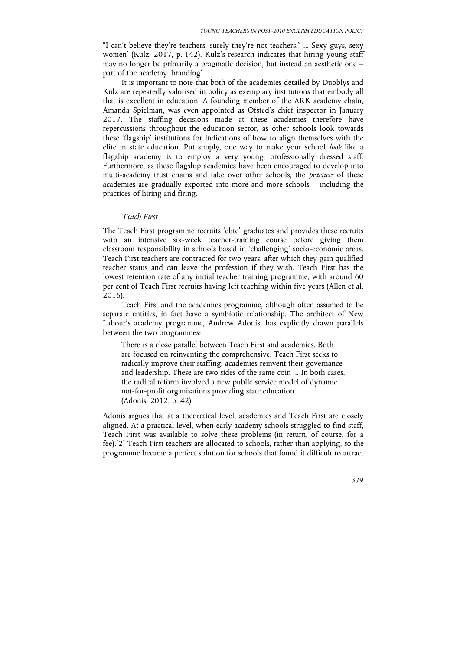"I can't believe they're teachers, surely they're not teachers." ... Sexy guys, sexy women' (Kulz, 2017, p. 142). Kulz's research indicates that hiring young staff may no longer be primarily a pragmatic decision, but instead an aesthetic one – part of the academy 'branding'.

It is important to note that both of the academies detailed by Duoblys and Kulz are repeatedly valorised in policy as exemplary institutions that embody all that is excellent in education. A founding member of the ARK academy chain, Amanda Spielman, was even appointed as Ofsted's chief inspector in January 2017. The staffing decisions made at these academies therefore have repercussions throughout the education sector, as other schools look towards these 'flagship' institutions for indications of how to align themselves with the elite in state education. Put simply, one way to make your school *look* like a flagship academy is to employ a very young, professionally dressed staff. Furthermore, as these flagship academies have been encouraged to develop into multi-academy trust chains and take over other schools, the *practices* of these academies are gradually exported into more and more schools – including the practices of hiring and firing.

#### *Teach First*

The Teach First programme recruits 'elite' graduates and provides these recruits with an intensive six-week teacher-training course before giving them classroom responsibility in schools based in 'challenging' socio-economic areas. Teach First teachers are contracted for two years, after which they gain qualified teacher status and can leave the profession if they wish. Teach First has the lowest retention rate of any initial teacher training programme, with around 60 per cent of Teach First recruits having left teaching within five years (Allen et al, 2016).

Teach First and the academies programme, although often assumed to be separate entities, in fact have a symbiotic relationship. The architect of New Labour's academy programme, Andrew Adonis, has explicitly drawn parallels between the two programmes:

There is a close parallel between Teach First and academies. Both are focused on reinventing the comprehensive. Teach First seeks to radically improve their staffing; academies reinvent their governance and leadership. These are two sides of the same coin ... In both cases, the radical reform involved a new public service model of dynamic not-for-profit organisations providing state education. (Adonis, 2012, p. 42)

Adonis argues that at a theoretical level, academies and Teach First are closely aligned. At a practical level, when early academy schools struggled to find staff, Teach First was available to solve these problems (in return, of course, for a fee).[2] Teach First teachers are allocated to schools, rather than applying, so the programme became a perfect solution for schools that found it difficult to attract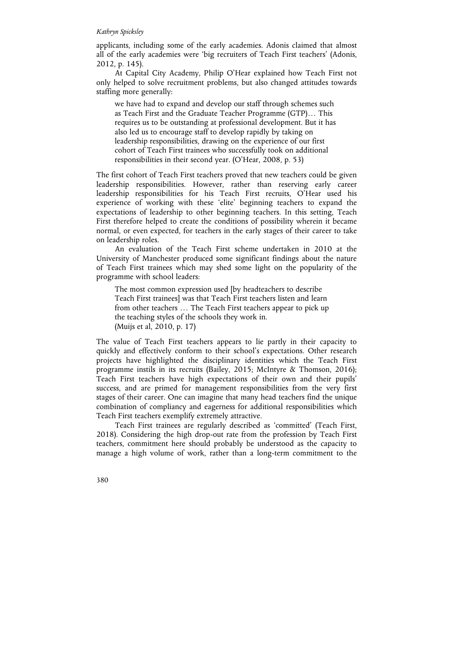applicants, including some of the early academies. Adonis claimed that almost all of the early academies were 'big recruiters of Teach First teachers' (Adonis, 2012, p. 145).

At Capital City Academy, Philip O'Hear explained how Teach First not only helped to solve recruitment problems, but also changed attitudes towards staffing more generally:

we have had to expand and develop our staff through schemes such as Teach First and the Graduate Teacher Programme (GTP)… This requires us to be outstanding at professional development. But it has also led us to encourage staff to develop rapidly by taking on leadership responsibilities, drawing on the experience of our first cohort of Teach First trainees who successfully took on additional responsibilities in their second year. (O'Hear, 2008, p. 53)

The first cohort of Teach First teachers proved that new teachers could be given leadership responsibilities. However, rather than reserving early career leadership responsibilities for his Teach First recruits, O'Hear used his experience of working with these 'elite' beginning teachers to expand the expectations of leadership to other beginning teachers. In this setting, Teach First therefore helped to create the conditions of possibility wherein it became normal, or even expected, for teachers in the early stages of their career to take on leadership roles.

An evaluation of the Teach First scheme undertaken in 2010 at the University of Manchester produced some significant findings about the nature of Teach First trainees which may shed some light on the popularity of the programme with school leaders:

The most common expression used [by headteachers to describe Teach First trainees] was that Teach First teachers listen and learn from other teachers … The Teach First teachers appear to pick up the teaching styles of the schools they work in. (Muijs et al, 2010, p. 17)

The value of Teach First teachers appears to lie partly in their capacity to quickly and effectively conform to their school's expectations. Other research projects have highlighted the disciplinary identities which the Teach First programme instils in its recruits (Bailey, 2015; McIntyre & Thomson, 2016); Teach First teachers have high expectations of their own and their pupils' success, and are primed for management responsibilities from the very first stages of their career. One can imagine that many head teachers find the unique combination of compliancy and eagerness for additional responsibilities which Teach First teachers exemplify extremely attractive.

Teach First trainees are regularly described as 'committed' (Teach First, 2018). Considering the high drop-out rate from the profession by Teach First teachers, commitment here should probably be understood as the capacity to manage a high volume of work, rather than a long-term commitment to the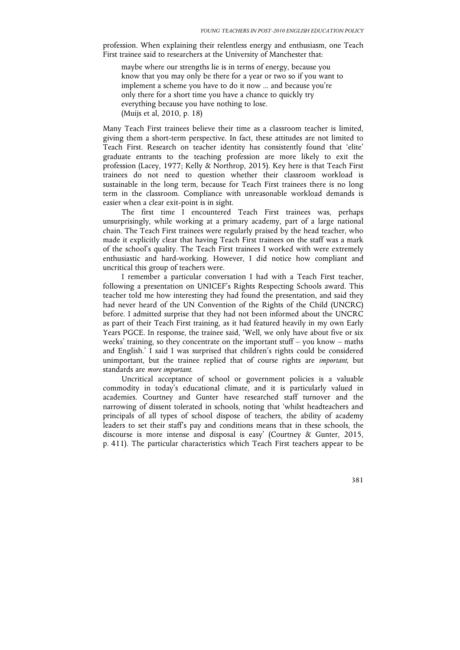profession. When explaining their relentless energy and enthusiasm, one Teach First trainee said to researchers at the University of Manchester that:

maybe where our strengths lie is in terms of energy, because you know that you may only be there for a year or two so if you want to implement a scheme you have to do it now ... and because you're only there for a short time you have a chance to quickly try everything because you have nothing to lose. (Muijs et al, 2010, p. 18)

Many Teach First trainees believe their time as a classroom teacher is limited, giving them a short-term perspective. In fact, these attitudes are not limited to Teach First. Research on teacher identity has consistently found that 'elite' graduate entrants to the teaching profession are more likely to exit the profession (Lacey, 1977; Kelly & Northrop, 2015). Key here is that Teach First trainees do not need to question whether their classroom workload is sustainable in the long term, because for Teach First trainees there is no long term in the classroom. Compliance with unreasonable workload demands is easier when a clear exit-point is in sight.

The first time I encountered Teach First trainees was, perhaps unsurprisingly, while working at a primary academy, part of a large national chain. The Teach First trainees were regularly praised by the head teacher, who made it explicitly clear that having Teach First trainees on the staff was a mark of the school's quality. The Teach First trainees I worked with were extremely enthusiastic and hard-working. However, I did notice how compliant and uncritical this group of teachers were.

I remember a particular conversation I had with a Teach First teacher, following a presentation on UNICEF's Rights Respecting Schools award. This teacher told me how interesting they had found the presentation, and said they had never heard of the UN Convention of the Rights of the Child (UNCRC) before. I admitted surprise that they had not been informed about the UNCRC as part of their Teach First training, as it had featured heavily in my own Early Years PGCE. In response, the trainee said, 'Well, we only have about five or six weeks' training, so they concentrate on the important stuff – you know – maths and English.' I said I was surprised that children's rights could be considered unimportant, but the trainee replied that of course rights are *important*, but standards are *more important*.

Uncritical acceptance of school or government policies is a valuable commodity in today's educational climate, and it is particularly valued in academies. Courtney and Gunter have researched staff turnover and the narrowing of dissent tolerated in schools, noting that 'whilst headteachers and principals of all types of school dispose of teachers, the ability of academy leaders to set their staff's pay and conditions means that in these schools, the discourse is more intense and disposal is easy' (Courtney & Gunter, 2015, p. 411). The particular characteristics which Teach First teachers appear to be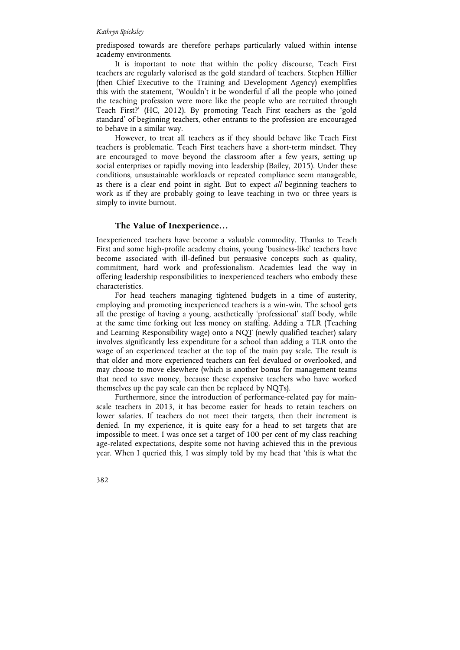predisposed towards are therefore perhaps particularly valued within intense academy environments.

It is important to note that within the policy discourse, Teach First teachers are regularly valorised as the gold standard of teachers. Stephen Hillier (then Chief Executive to the Training and Development Agency) exemplifies this with the statement, 'Wouldn't it be wonderful if all the people who joined the teaching profession were more like the people who are recruited through Teach First?' (HC, 2012). By promoting Teach First teachers as the 'gold standard' of beginning teachers, other entrants to the profession are encouraged to behave in a similar way.

However, to treat all teachers as if they should behave like Teach First teachers is problematic. Teach First teachers have a short-term mindset. They are encouraged to move beyond the classroom after a few years, setting up social enterprises or rapidly moving into leadership (Bailey, 2015). Under these conditions, unsustainable workloads or repeated compliance seem manageable, as there is a clear end point in sight. But to expect *all* beginning teachers to work as if they are probably going to leave teaching in two or three years is simply to invite burnout.

## **The Value of Inexperience…**

Inexperienced teachers have become a valuable commodity. Thanks to Teach First and some high-profile academy chains, young 'business-like' teachers have become associated with ill-defined but persuasive concepts such as quality, commitment, hard work and professionalism. Academies lead the way in offering leadership responsibilities to inexperienced teachers who embody these characteristics.

For head teachers managing tightened budgets in a time of austerity, employing and promoting inexperienced teachers is a win-win. The school gets all the prestige of having a young, aesthetically 'professional' staff body, while at the same time forking out less money on staffing. Adding a TLR (Teaching and Learning Responsibility wage) onto a NQT (newly qualified teacher) salary involves significantly less expenditure for a school than adding a TLR onto the wage of an experienced teacher at the top of the main pay scale. The result is that older and more experienced teachers can feel devalued or overlooked, and may choose to move elsewhere (which is another bonus for management teams that need to save money, because these expensive teachers who have worked themselves up the pay scale can then be replaced by NQTs).

Furthermore, since the introduction of performance-related pay for mainscale teachers in 2013, it has become easier for heads to retain teachers on lower salaries. If teachers do not meet their targets, then their increment is denied. In my experience, it is quite easy for a head to set targets that are impossible to meet. I was once set a target of 100 per cent of my class reaching age-related expectations, despite some not having achieved this in the previous year. When I queried this, I was simply told by my head that 'this is what the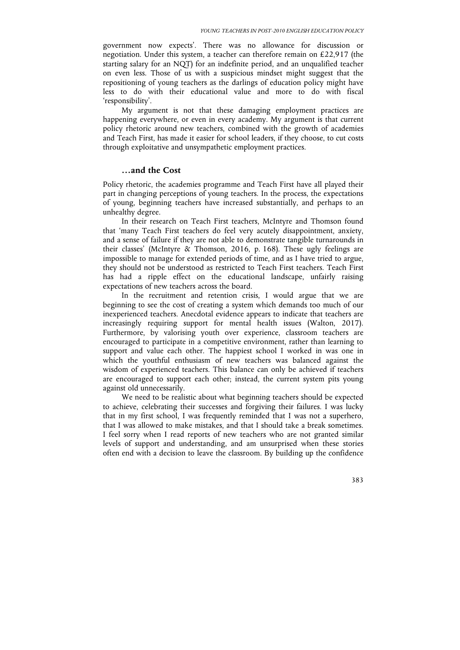government now expects'. There was no allowance for discussion or negotiation. Under this system, a teacher can therefore remain on £22,917 (the starting salary for an NQT) for an indefinite period, and an unqualified teacher on even less. Those of us with a suspicious mindset might suggest that the repositioning of young teachers as the darlings of education policy might have less to do with their educational value and more to do with fiscal 'responsibility'.

My argument is not that these damaging employment practices are happening everywhere, or even in every academy. My argument is that current policy rhetoric around new teachers, combined with the growth of academies and Teach First, has made it easier for school leaders, if they choose, to cut costs through exploitative and unsympathetic employment practices.

#### **…and the Cost**

Policy rhetoric, the academies programme and Teach First have all played their part in changing perceptions of young teachers. In the process, the expectations of young, beginning teachers have increased substantially, and perhaps to an unhealthy degree.

In their research on Teach First teachers, McIntyre and Thomson found that 'many Teach First teachers do feel very acutely disappointment, anxiety, and a sense of failure if they are not able to demonstrate tangible turnarounds in their classes' (McIntyre & Thomson, 2016, p. 168). These ugly feelings are impossible to manage for extended periods of time, and as I have tried to argue, they should not be understood as restricted to Teach First teachers. Teach First has had a ripple effect on the educational landscape, unfairly raising expectations of new teachers across the board.

In the recruitment and retention crisis, I would argue that we are beginning to see the cost of creating a system which demands too much of our inexperienced teachers. Anecdotal evidence appears to indicate that teachers are increasingly requiring support for mental health issues (Walton, 2017). Furthermore, by valorising youth over experience, classroom teachers are encouraged to participate in a competitive environment, rather than learning to support and value each other. The happiest school I worked in was one in which the youthful enthusiasm of new teachers was balanced against the wisdom of experienced teachers. This balance can only be achieved if teachers are encouraged to support each other; instead, the current system pits young against old unnecessarily.

We need to be realistic about what beginning teachers should be expected to achieve, celebrating their successes and forgiving their failures. I was lucky that in my first school, I was frequently reminded that I was not a superhero, that I was allowed to make mistakes, and that I should take a break sometimes. I feel sorry when I read reports of new teachers who are not granted similar levels of support and understanding, and am unsurprised when these stories often end with a decision to leave the classroom. By building up the confidence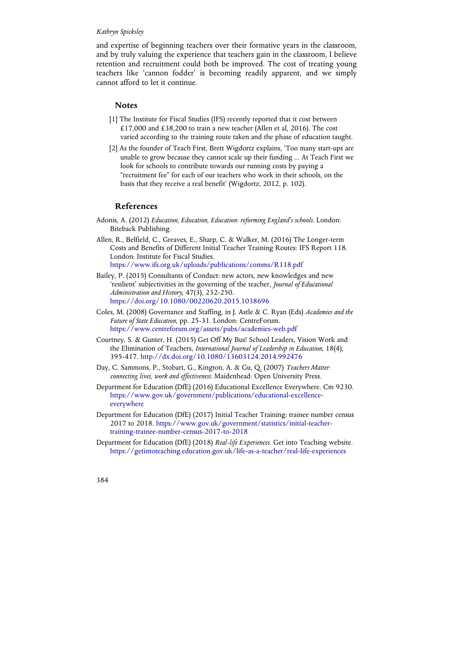and expertise of beginning teachers over their formative years in the classroom, and by truly valuing the experience that teachers gain in the classroom, I believe retention and recruitment could both be improved. The cost of treating young teachers like 'cannon fodder' is becoming readily apparent, and we simply cannot afford to let it continue.

#### **Notes**

- [1] The Institute for Fiscal Studies (IFS) recently reported that it cost between £17,000 and £38,200 to train a new teacher (Allen et al, 2016). The cost varied according to the training route taken and the phase of education taught.
- [2] As the founder of Teach First, Brett Wigdortz explains, 'Too many start-ups are unable to grow because they cannot scale up their funding ... At Teach First we look for schools to contribute towards our running costs by paying a "recruitment fee" for each of our teachers who work in their schools, on the basis that they receive a real benefit' (Wigdortz, 2012, p. 102).

## **References**

- Adonis, A. (2012) *Education, Education, Education: reforming England's schools*. London: Biteback Publishing.
- Allen, R., Belfield, C., Greaves, E., Sharp, C. & Walker, M. (2016) The Longer-term Costs and Benefits of Different Initial Teacher Training Routes: IFS Report 118. London: Institute for Fiscal Studies. https://www.ifs.org.uk/uploads/publications/comms/R118.pdf
- Bailey, P. (2015) Consultants of Conduct: new actors, new knowledges and new 'resilient' subjectivities in the governing of the teacher, *Journal of Educational Administration and History*, 47(3), 232-250. https://doi.org/10.1080/00220620.2015.1038696
- Coles, M. (2008) Governance and Staffing, in J. Astle & C. Ryan (Eds) *Academies and the Future of State Education*, pp. 25-31*.* London: CentreForum. https://www.centreforum.org/assets/pubs/academies-web.pdf
- Courtney, S. & Gunter, H. (2015) Get Off My Bus! School Leaders, Vision Work and the Elimination of Teachers, *International Journal of Leadership in Education*, 18(4), 395-417. http://dx.doi.org/10.1080/13603124.2014.992476
- Day, C. Sammons, P., Stobart, G., Kington, A. & Gu, Q. (2007) *Teachers Matter: connecting lives, work and effectiveness.* Maidenhead: Open University Press.
- Department for Education (DfE) (2016) Educational Excellence Everywhere. Cm 9230. https://www.gov.uk/government/publications/educational-excellenceeverywhere
- Department for Education (DfE) (2017) Initial Teacher Training: trainee number census 2017 to 2018. https://www.gov.uk/government/statistics/initial-teachertraining-trainee-number-census-2017-to-2018
- Department for Education (DfE) (2018) *Real-life Experiences*. Get into Teaching website. https://getintoteaching.education.gov.uk/life-as-a-teacher/real-life-experiences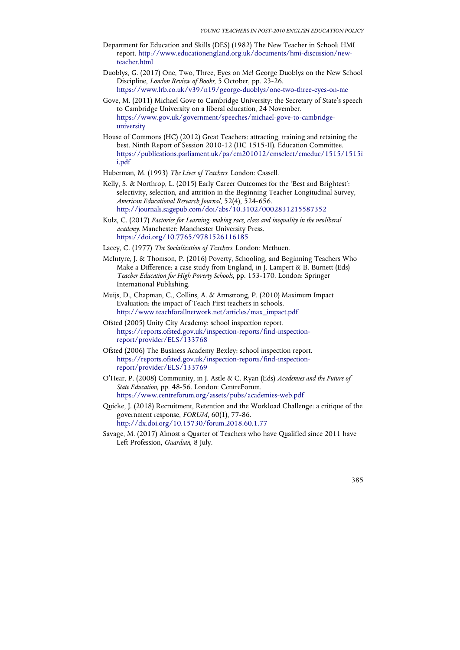- Department for Education and Skills (DES) (1982) The New Teacher in School: HMI report. http://www.educationengland.org.uk/documents/hmi-discussion/newteacher.html
- Duoblys, G. (2017) One, Two, Three, Eyes on Me! George Duoblys on the New School Discipline, *London Review of Books*, 5 October, pp. 23-26. https://www.lrb.co.uk/v39/n19/george-duoblys/one-two-three-eyes-on-me
- Gove, M. (2011) Michael Gove to Cambridge University: the Secretary of State's speech to Cambridge University on a liberal education, 24 November. https://www.gov.uk/government/speeches/michael-gove-to-cambridgeuniversity
- House of Commons (HC) (2012) Great Teachers: attracting, training and retaining the best. Ninth Report of Session 2010-12 (HC 1515-II). Education Committee. https://publications.parliament.uk/pa/cm201012/cmselect/cmeduc/1515/1515i i.pdf
- Huberman, M. (1993) *The Lives of Teachers.* London: Cassell.
- Kelly, S. & Northrop, L. (2015) Early Career Outcomes for the 'Best and Brightest': selectivity, selection, and attrition in the Beginning Teacher Longitudinal Survey, *American Educational Research Journal*, 52(4), 524-656. http://journals.sagepub.com/doi/abs/10.3102/0002831215587352
- Kulz, C. (2017) *Factories for Learning: making race, class and inequality in the neoliberal academy.* Manchester: Manchester University Press. https://doi.org/10.7765/9781526116185
- Lacey, C. (1977) *The Socialization of Teachers.* London: Methuen.
- McIntyre, J. & Thomson, P. (2016) Poverty, Schooling, and Beginning Teachers Who Make a Difference: a case study from England, in J. Lampert & B. Burnett (Eds) *Teacher Education for High Poverty Schools*, pp. 153-170. London: Springer International Publishing.
- Muijs, D., Chapman, C., Collins, A. & Armstrong, P. (2010) Maximum Impact Evaluation: the impact of Teach First teachers in schools. http://www.teachforallnetwork.net/articles/max\_impact.pdf
- Ofsted (2005) Unity City Academy: school inspection report. https://reports.ofsted.gov.uk/inspection-reports/find-inspectionreport/provider/ELS/133768
- Ofsted (2006) The Business Academy Bexley: school inspection report. https://reports.ofsted.gov.uk/inspection-reports/find-inspectionreport/provider/ELS/133769
- O'Hear, P. (2008) Community, in J. Astle & C. Ryan (Eds) *Academies and the Future of State Education*, pp. 48-56. London: CentreForum. https://www.centreforum.org/assets/pubs/academies-web.pdf
- Quicke, J. (2018) Recruitment, Retention and the Workload Challenge: a critique of the government response, *FORUM*, 60(1), 77-86. http://dx.doi.org/10.15730/forum.2018.60.1.77
- Savage, M. (2017) Almost a Quarter of Teachers who have Qualified since 2011 have Left Profession, *Guardian*, 8 July.